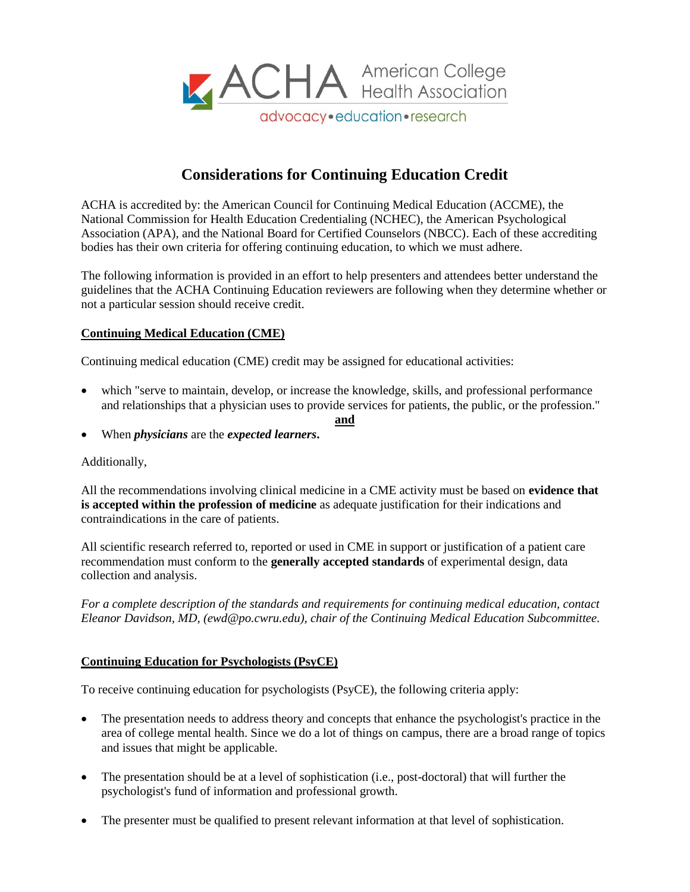

# **Considerations for Continuing Education Credit**

ACHA is accredited by: the American Council for Continuing Medical Education (ACCME), the National Commission for Health Education Credentialing (NCHEC), the American Psychological Association (APA), and the National Board for Certified Counselors (NBCC). Each of these accrediting bodies has their own criteria for offering continuing education, to which we must adhere.

The following information is provided in an effort to help presenters and attendees better understand the guidelines that the ACHA Continuing Education reviewers are following when they determine whether or not a particular session should receive credit.

#### **Continuing Medical Education (CME)**

Continuing medical education (CME) credit may be assigned for educational activities:

 which "serve to maintain, develop, or increase the knowledge, skills, and professional performance and relationships that a physician uses to provide services for patients, the public, or the profession."

**and**

When *physicians* are the *expected learners***.**

#### Additionally,

All the recommendations involving clinical medicine in a CME activity must be based on **evidence that is accepted within the profession of medicine** as adequate justification for their indications and contraindications in the care of patients.

All scientific research referred to, reported or used in CME in support or justification of a patient care recommendation must conform to the **generally accepted standards** of experimental design, data collection and analysis.

*For a complete description of the standards and requirements for continuing medical education, contact Eleanor Davidson, MD, (ewd@po.cwru.edu), chair of the Continuing Medical Education Subcommittee.*

#### **Continuing Education for Psychologists (PsyCE)**

To receive continuing education for psychologists (PsyCE), the following criteria apply:

- The presentation needs to address theory and concepts that enhance the psychologist's practice in the area of college mental health. Since we do a lot of things on campus, there are a broad range of topics and issues that might be applicable.
- The presentation should be at a level of sophistication (i.e., post-doctoral) that will further the psychologist's fund of information and professional growth.
- The presenter must be qualified to present relevant information at that level of sophistication.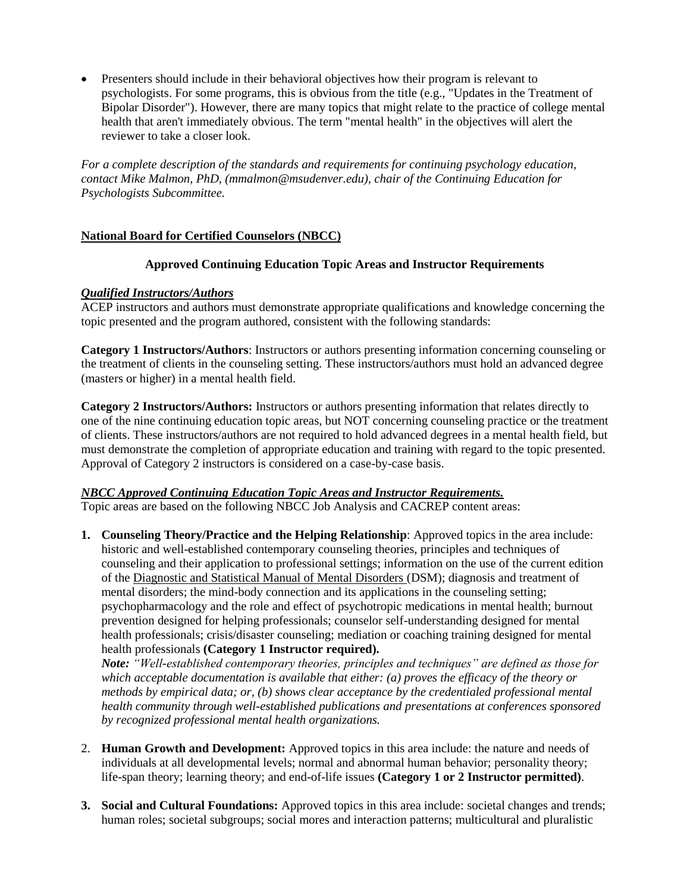Presenters should include in their behavioral objectives how their program is relevant to psychologists. For some programs, this is obvious from the title (e.g., "Updates in the Treatment of Bipolar Disorder"). However, there are many topics that might relate to the practice of college mental health that aren't immediately obvious. The term "mental health" in the objectives will alert the reviewer to take a closer look.

*For a complete description of the standards and requirements for continuing psychology education, contact Mike Malmon, PhD, (mmalmon@msudenver.edu), chair of the Continuing Education for Psychologists Subcommittee.*

### **National Board for Certified Counselors (NBCC)**

#### **Approved Continuing Education Topic Areas and Instructor Requirements**

#### *Qualified Instructors/Authors*

ACEP instructors and authors must demonstrate appropriate qualifications and knowledge concerning the topic presented and the program authored, consistent with the following standards:

**Category 1 Instructors/Authors**: Instructors or authors presenting information concerning counseling or the treatment of clients in the counseling setting. These instructors/authors must hold an advanced degree (masters or higher) in a mental health field.

**Category 2 Instructors/Authors:** Instructors or authors presenting information that relates directly to one of the nine continuing education topic areas, but NOT concerning counseling practice or the treatment of clients. These instructors/authors are not required to hold advanced degrees in a mental health field, but must demonstrate the completion of appropriate education and training with regard to the topic presented. Approval of Category 2 instructors is considered on a case-by-case basis.

#### *NBCC Approved Continuing Education Topic Areas and Instructor Requirements.*

Topic areas are based on the following NBCC Job Analysis and CACREP content areas:

**1. Counseling Theory/Practice and the Helping Relationship**: Approved topics in the area include: historic and well-established contemporary counseling theories, principles and techniques of counseling and their application to professional settings; information on the use of the current edition of the Diagnostic and Statistical Manual of Mental Disorders (DSM); diagnosis and treatment of mental disorders; the mind-body connection and its applications in the counseling setting; psychopharmacology and the role and effect of psychotropic medications in mental health; burnout prevention designed for helping professionals; counselor self-understanding designed for mental health professionals; crisis/disaster counseling; mediation or coaching training designed for mental health professionals **(Category 1 Instructor required).** 

*Note: "Well-established contemporary theories, principles and techniques" are defined as those for which acceptable documentation is available that either: (a) proves the efficacy of the theory or methods by empirical data; or, (b) shows clear acceptance by the credentialed professional mental health community through well-established publications and presentations at conferences sponsored by recognized professional mental health organizations.* 

- 2. **Human Growth and Development:** Approved topics in this area include: the nature and needs of individuals at all developmental levels; normal and abnormal human behavior; personality theory; life-span theory; learning theory; and end-of-life issues **(Category 1 or 2 Instructor permitted)**.
- **3. Social and Cultural Foundations:** Approved topics in this area include: societal changes and trends; human roles; societal subgroups; social mores and interaction patterns; multicultural and pluralistic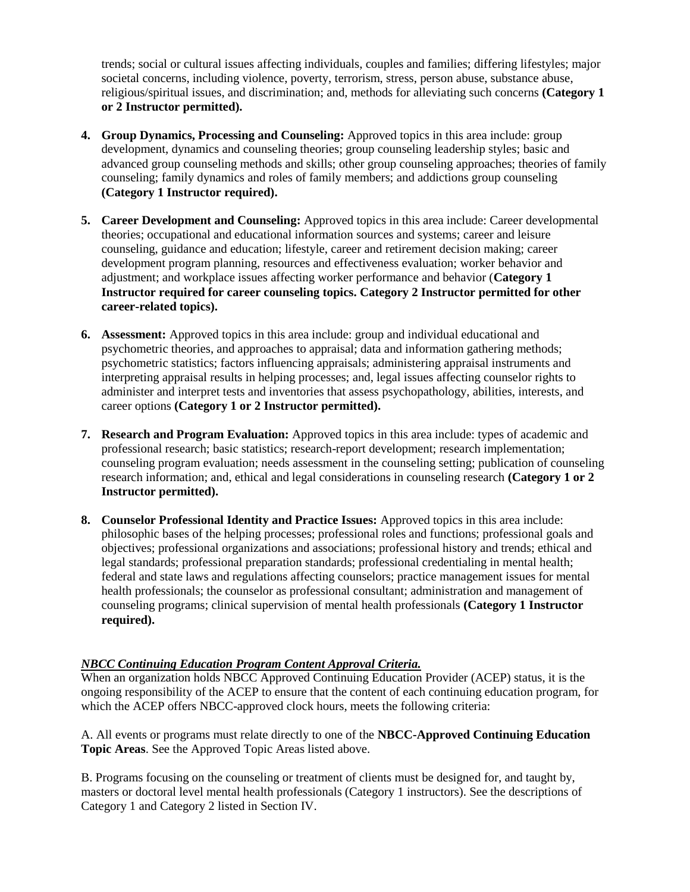trends; social or cultural issues affecting individuals, couples and families; differing lifestyles; major societal concerns, including violence, poverty, terrorism, stress, person abuse, substance abuse, religious/spiritual issues, and discrimination; and, methods for alleviating such concerns **(Category 1 or 2 Instructor permitted).**

- **4. Group Dynamics, Processing and Counseling:** Approved topics in this area include: group development, dynamics and counseling theories; group counseling leadership styles; basic and advanced group counseling methods and skills; other group counseling approaches; theories of family counseling; family dynamics and roles of family members; and addictions group counseling **(Category 1 Instructor required).**
- **5. Career Development and Counseling:** Approved topics in this area include: Career developmental theories; occupational and educational information sources and systems; career and leisure counseling, guidance and education; lifestyle, career and retirement decision making; career development program planning, resources and effectiveness evaluation; worker behavior and adjustment; and workplace issues affecting worker performance and behavior (**Category 1 Instructor required for career counseling topics. Category 2 Instructor permitted for other career-related topics).**
- **6. Assessment:** Approved topics in this area include: group and individual educational and psychometric theories, and approaches to appraisal; data and information gathering methods; psychometric statistics; factors influencing appraisals; administering appraisal instruments and interpreting appraisal results in helping processes; and, legal issues affecting counselor rights to administer and interpret tests and inventories that assess psychopathology, abilities, interests, and career options **(Category 1 or 2 Instructor permitted).**
- **7. Research and Program Evaluation:** Approved topics in this area include: types of academic and professional research; basic statistics; research-report development; research implementation; counseling program evaluation; needs assessment in the counseling setting; publication of counseling research information; and, ethical and legal considerations in counseling research **(Category 1 or 2 Instructor permitted).**
- **8. Counselor Professional Identity and Practice Issues:** Approved topics in this area include: philosophic bases of the helping processes; professional roles and functions; professional goals and objectives; professional organizations and associations; professional history and trends; ethical and legal standards; professional preparation standards; professional credentialing in mental health; federal and state laws and regulations affecting counselors; practice management issues for mental health professionals; the counselor as professional consultant; administration and management of counseling programs; clinical supervision of mental health professionals **(Category 1 Instructor required).**

### *NBCC Continuing Education Program Content Approval Criteria.*

When an organization holds NBCC Approved Continuing Education Provider (ACEP) status, it is the ongoing responsibility of the ACEP to ensure that the content of each continuing education program, for which the ACEP offers NBCC-approved clock hours, meets the following criteria:

A. All events or programs must relate directly to one of the **NBCC-Approved Continuing Education Topic Areas**. See the Approved Topic Areas listed above.

B. Programs focusing on the counseling or treatment of clients must be designed for, and taught by, masters or doctoral level mental health professionals (Category 1 instructors). See the descriptions of Category 1 and Category 2 listed in Section IV.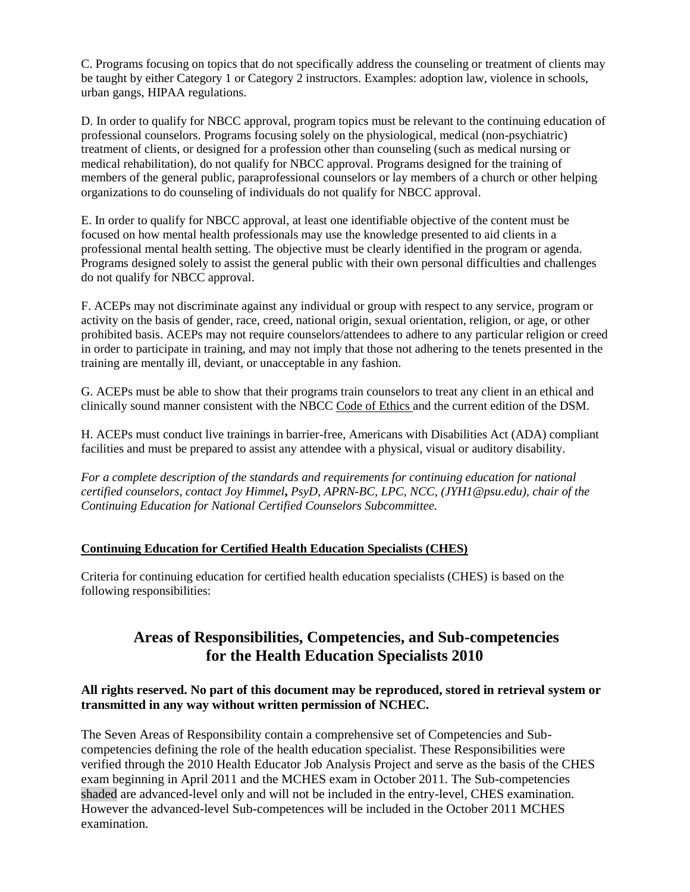C. Programs focusing on topics that do not specifically address the counseling or treatment of clients may be taught by either Category 1 or Category 2 instructors. Examples: adoption law, violence in schools, urban gangs, HIPAA regulations.

D. In order to qualify for NBCC approval, program topics must be relevant to the continuing education of professional counselors. Programs focusing solely on the physiological, medical (non-psychiatric) treatment of clients, or designed for a profession other than counseling (such as medical nursing or medical rehabilitation), do not qualify for NBCC approval. Programs designed for the training of members of the general public, paraprofessional counselors or lay members of a church or other helping organizations to do counseling of individuals do not qualify for NBCC approval.

E. In order to qualify for NBCC approval, at least one identifiable objective of the content must be focused on how mental health professionals may use the knowledge presented to aid clients in a professional mental health setting. The objective must be clearly identified in the program or agenda. Programs designed solely to assist the general public with their own personal difficulties and challenges do not qualify for NBCC approval.

F. ACEPs may not discriminate against any individual or group with respect to any service, program or activity on the basis of gender, race, creed, national origin, sexual orientation, religion, or age, or other prohibited basis. ACEPs may not require counselors/attendees to adhere to any particular religion or creed in order to participate in training, and may not imply that those not adhering to the tenets presented in the training are mentally ill, deviant, or unacceptable in any fashion.

G. ACEPs must be able to show that their programs train counselors to treat any client in an ethical and clinically sound manner consistent with the NBCC Code of Ethics and the current edition of the DSM.

H. ACEPs must conduct live trainings in barrier-free, Americans with Disabilities Act (ADA) compliant facilities and must be prepared to assist any attendee with a physical, visual or auditory disability.

*For a complete description of the standards and requirements for continuing education for national certified counselors, contact Joy Himmel***,** *PsyD, APRN-BC, LPC, NCC, (JYH1@psu.edu), chair of the Continuing Education for National Certified Counselors Subcommittee.*

#### **Continuing Education for Certified Health Education Specialists (CHES)**

Criteria for continuing education for certified health education specialists (CHES) is based on the following responsibilities:

# **Areas of Responsibilities, Competencies, and Sub-competencies for the Health Education Specialists 2010**

### **All rights reserved. No part of this document may be reproduced, stored in retrieval system or transmitted in any way without written permission of NCHEC.**

The Seven Areas of Responsibility contain a comprehensive set of Competencies and Subcompetencies defining the role of the health education specialist. These Responsibilities were verified through the 2010 Health Educator Job Analysis Project and serve as the basis of the CHES exam beginning in April 2011 and the MCHES exam in October 2011. The Sub-competencies shaded are advanced-level only and will not be included in the entry-level, CHES examination. However the advanced-level Sub-competences will be included in the October 2011 MCHES examination.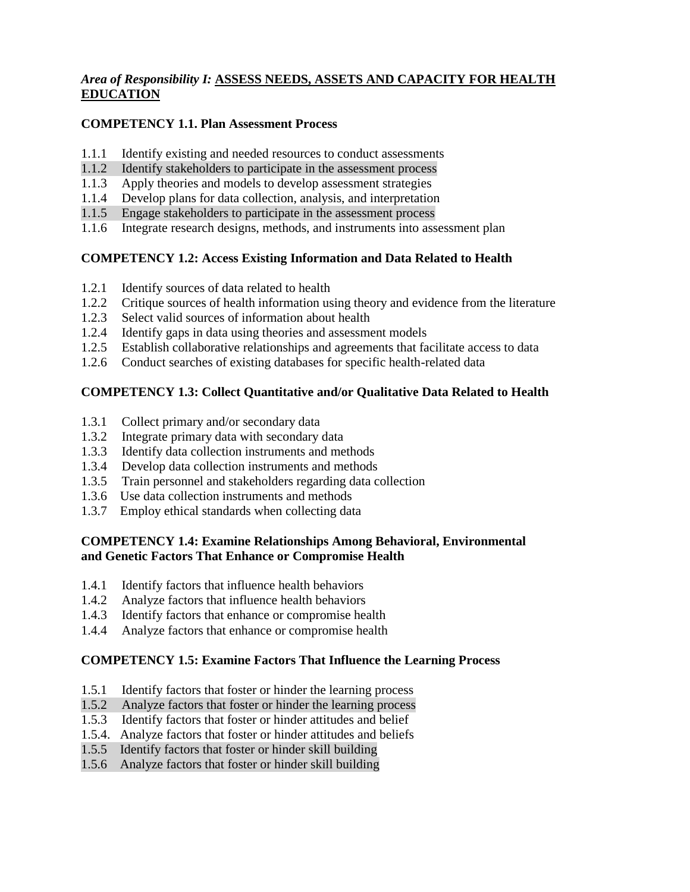### *Area of Responsibility I:* **ASSESS NEEDS, ASSETS AND CAPACITY FOR HEALTH EDUCATION**

### **COMPETENCY 1.1. Plan Assessment Process**

- 1.1.1 Identify existing and needed resources to conduct assessments
- 1.1.2 Identify stakeholders to participate in the assessment process
- 1.1.3 Apply theories and models to develop assessment strategies
- 1.1.4 Develop plans for data collection, analysis, and interpretation
- 1.1.5 Engage stakeholders to participate in the assessment process
- 1.1.6 Integrate research designs, methods, and instruments into assessment plan

### **COMPETENCY 1.2: Access Existing Information and Data Related to Health**

- 1.2.1 Identify sources of data related to health
- 1.2.2 Critique sources of health information using theory and evidence from the literature
- 1.2.3 Select valid sources of information about health
- 1.2.4 Identify gaps in data using theories and assessment models
- 1.2.5 Establish collaborative relationships and agreements that facilitate access to data
- 1.2.6 Conduct searches of existing databases for specific health-related data

### **COMPETENCY 1.3: Collect Quantitative and/or Qualitative Data Related to Health**

- 1.3.1 Collect primary and/or secondary data
- 1.3.2 Integrate primary data with secondary data
- 1.3.3 Identify data collection instruments and methods
- 1.3.4 Develop data collection instruments and methods
- 1.3.5 Train personnel and stakeholders regarding data collection
- 1.3.6 Use data collection instruments and methods
- 1.3.7 Employ ethical standards when collecting data

### **COMPETENCY 1.4: Examine Relationships Among Behavioral, Environmental and Genetic Factors That Enhance or Compromise Health**

- 1.4.1 Identify factors that influence health behaviors
- 1.4.2 Analyze factors that influence health behaviors
- 1.4.3 Identify factors that enhance or compromise health
- 1.4.4 Analyze factors that enhance or compromise health

### **COMPETENCY 1.5: Examine Factors That Influence the Learning Process**

- 1.5.1 Identify factors that foster or hinder the learning process
- 1.5.2 Analyze factors that foster or hinder the learning process
- 1.5.3 Identify factors that foster or hinder attitudes and belief
- 1.5.4. Analyze factors that foster or hinder attitudes and beliefs
- 1.5.5 Identify factors that foster or hinder skill building
- 1.5.6 Analyze factors that foster or hinder skill building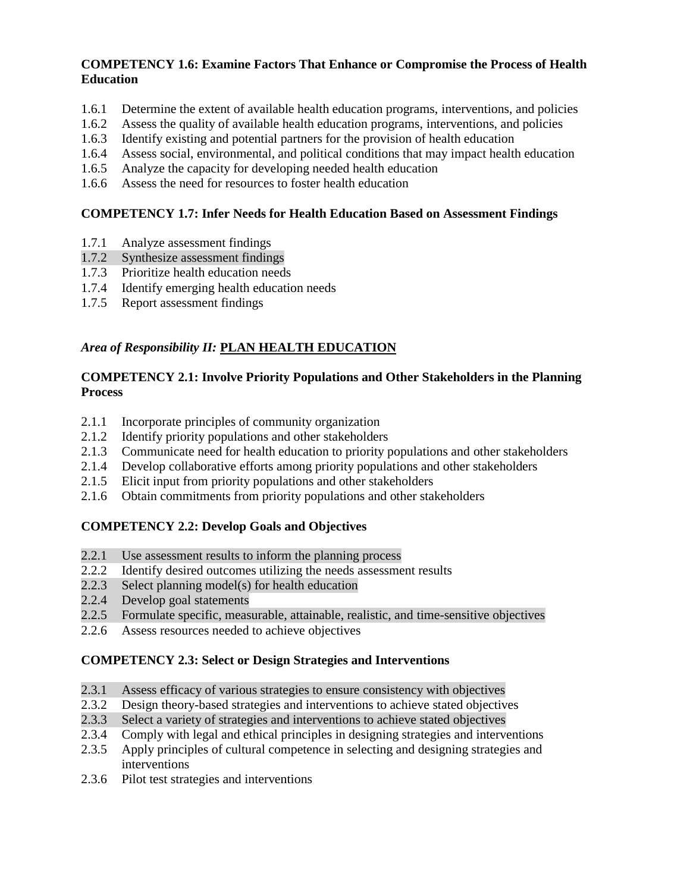### **COMPETENCY 1.6: Examine Factors That Enhance or Compromise the Process of Health Education**

- 1.6.1 Determine the extent of available health education programs, interventions, and policies
- 1.6.2 Assess the quality of available health education programs, interventions, and policies
- 1.6.3 Identify existing and potential partners for the provision of health education
- 1.6.4 Assess social, environmental, and political conditions that may impact health education
- 1.6.5 Analyze the capacity for developing needed health education
- 1.6.6 Assess the need for resources to foster health education

### **COMPETENCY 1.7: Infer Needs for Health Education Based on Assessment Findings**

- 1.7.1 Analyze assessment findings
- 1.7.2 Synthesize assessment findings
- 1.7.3 Prioritize health education needs
- 1.7.4 Identify emerging health education needs
- 1.7.5 Report assessment findings

### *Area of Responsibility II:* **PLAN HEALTH EDUCATION**

#### **COMPETENCY 2.1: Involve Priority Populations and Other Stakeholders in the Planning Process**

- 2.1.1 Incorporate principles of community organization
- 2.1.2 Identify priority populations and other stakeholders
- 2.1.3 Communicate need for health education to priority populations and other stakeholders
- 2.1.4 Develop collaborative efforts among priority populations and other stakeholders
- 2.1.5 Elicit input from priority populations and other stakeholders
- 2.1.6 Obtain commitments from priority populations and other stakeholders

### **COMPETENCY 2.2: Develop Goals and Objectives**

- 2.2.1 Use assessment results to inform the planning process
- 2.2.2 Identify desired outcomes utilizing the needs assessment results
- 2.2.3 Select planning model(s) for health education
- 2.2.4 Develop goal statements
- 2.2.5 Formulate specific, measurable, attainable, realistic, and time-sensitive objectives
- 2.2.6 Assess resources needed to achieve objectives

### **COMPETENCY 2.3: Select or Design Strategies and Interventions**

- 2.3.1 Assess efficacy of various strategies to ensure consistency with objectives
- 2.3.2 Design theory-based strategies and interventions to achieve stated objectives
- 2.3.3 Select a variety of strategies and interventions to achieve stated objectives
- 2.3.4 Comply with legal and ethical principles in designing strategies and interventions
- 2.3.5 Apply principles of cultural competence in selecting and designing strategies and interventions
- 2.3.6 Pilot test strategies and interventions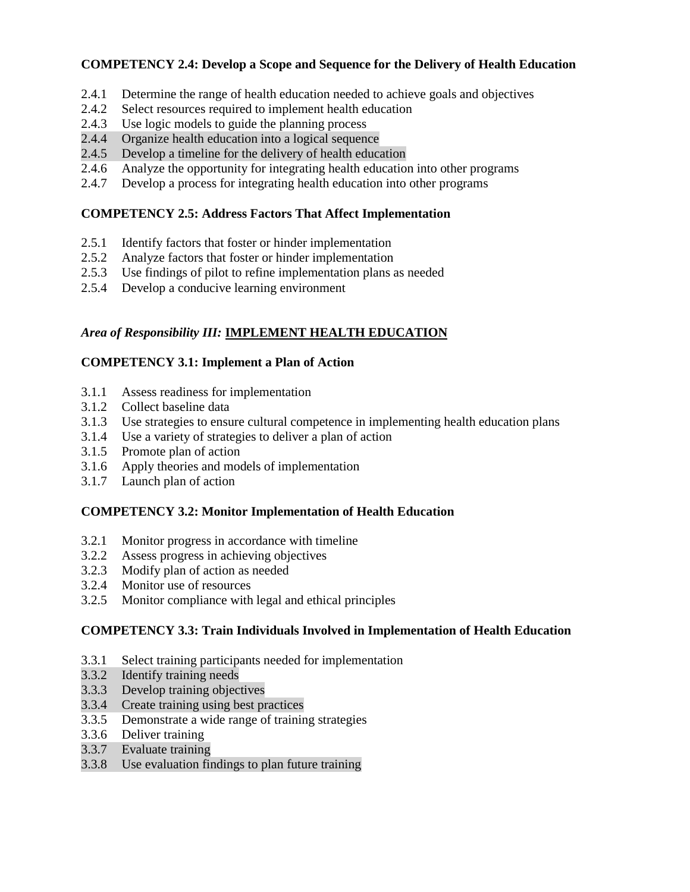### **COMPETENCY 2.4: Develop a Scope and Sequence for the Delivery of Health Education**

- 2.4.1 Determine the range of health education needed to achieve goals and objectives
- 2.4.2 Select resources required to implement health education
- 2.4.3 Use logic models to guide the planning process
- 2.4.4 Organize health education into a logical sequence
- 2.4.5 Develop a timeline for the delivery of health education
- 2.4.6 Analyze the opportunity for integrating health education into other programs
- 2.4.7 Develop a process for integrating health education into other programs

### **COMPETENCY 2.5: Address Factors That Affect Implementation**

- 2.5.1 Identify factors that foster or hinder implementation
- 2.5.2 Analyze factors that foster or hinder implementation
- 2.5.3 Use findings of pilot to refine implementation plans as needed
- 2.5.4 Develop a conducive learning environment

### *Area of Responsibility III:* **IMPLEMENT HEALTH EDUCATION**

### **COMPETENCY 3.1: Implement a Plan of Action**

- 3.1.1 Assess readiness for implementation
- 3.1.2 Collect baseline data
- 3.1.3 Use strategies to ensure cultural competence in implementing health education plans
- 3.1.4 Use a variety of strategies to deliver a plan of action
- 3.1.5 Promote plan of action
- 3.1.6 Apply theories and models of implementation
- 3.1.7 Launch plan of action

### **COMPETENCY 3.2: Monitor Implementation of Health Education**

- 3.2.1 Monitor progress in accordance with timeline
- 3.2.2 Assess progress in achieving objectives
- 3.2.3 Modify plan of action as needed
- 3.2.4 Monitor use of resources
- 3.2.5 Monitor compliance with legal and ethical principles

### **COMPETENCY 3.3: Train Individuals Involved in Implementation of Health Education**

- 3.3.1 Select training participants needed for implementation
- 3.3.2 Identify training needs
- 3.3.3 Develop training objectives
- 3.3.4 Create training using best practices
- 3.3.5 Demonstrate a wide range of training strategies
- 3.3.6 Deliver training
- 3.3.7 Evaluate training
- 3.3.8 Use evaluation findings to plan future training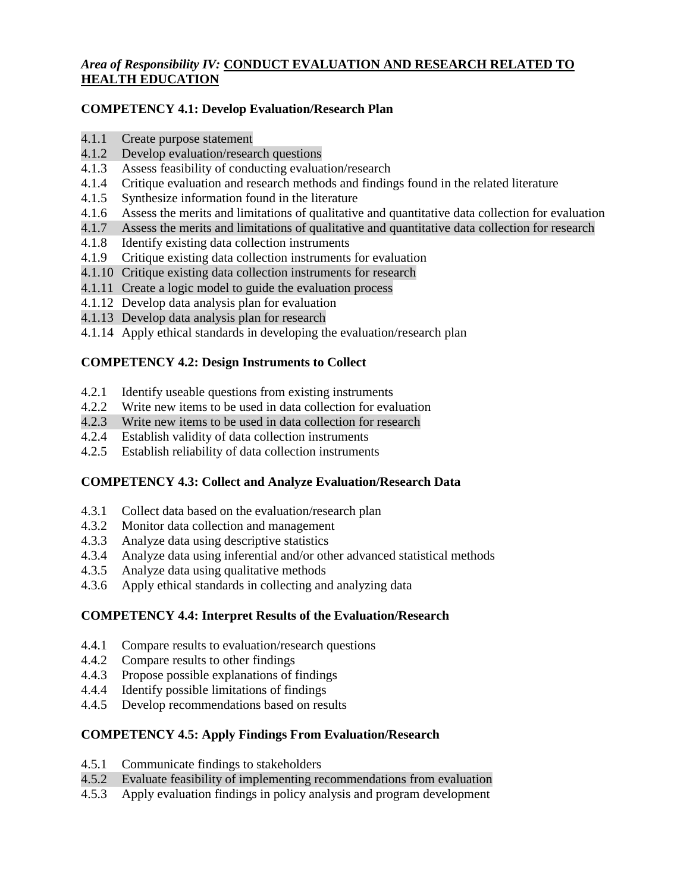# *Area of Responsibility IV:* **CONDUCT EVALUATION AND RESEARCH RELATED TO HEALTH EDUCATION**

# **COMPETENCY 4.1: Develop Evaluation/Research Plan**

- 4.1.1 Create purpose statement
- 4.1.2 Develop evaluation/research questions
- 4.1.3 Assess feasibility of conducting evaluation/research
- 4.1.4 Critique evaluation and research methods and findings found in the related literature
- 4.1.5 Synthesize information found in the literature
- 4.1.6 Assess the merits and limitations of qualitative and quantitative data collection for evaluation
- 4.1.7 Assess the merits and limitations of qualitative and quantitative data collection for research
- 4.1.8 Identify existing data collection instruments
- 4.1.9 Critique existing data collection instruments for evaluation
- 4.1.10 Critique existing data collection instruments for research
- 4.1.11 Create a logic model to guide the evaluation process
- 4.1.12 Develop data analysis plan for evaluation
- 4.1.13 Develop data analysis plan for research
- 4.1.14 Apply ethical standards in developing the evaluation/research plan

# **COMPETENCY 4.2: Design Instruments to Collect**

- 4.2.1 Identify useable questions from existing instruments
- 4.2.2 Write new items to be used in data collection for evaluation
- 4.2.3 Write new items to be used in data collection for research
- 4.2.4 Establish validity of data collection instruments
- 4.2.5 Establish reliability of data collection instruments

# **COMPETENCY 4.3: Collect and Analyze Evaluation/Research Data**

- 4.3.1 Collect data based on the evaluation/research plan
- 4.3.2 Monitor data collection and management
- 4.3.3 Analyze data using descriptive statistics
- 4.3.4 Analyze data using inferential and/or other advanced statistical methods
- 4.3.5 Analyze data using qualitative methods
- 4.3.6 Apply ethical standards in collecting and analyzing data

# **COMPETENCY 4.4: Interpret Results of the Evaluation/Research**

- 4.4.1 Compare results to evaluation/research questions
- 4.4.2 Compare results to other findings
- 4.4.3 Propose possible explanations of findings
- 4.4.4 Identify possible limitations of findings
- 4.4.5 Develop recommendations based on results

# **COMPETENCY 4.5: Apply Findings From Evaluation/Research**

- 4.5.1 Communicate findings to stakeholders
- 4.5.2 Evaluate feasibility of implementing recommendations from evaluation
- 4.5.3 Apply evaluation findings in policy analysis and program development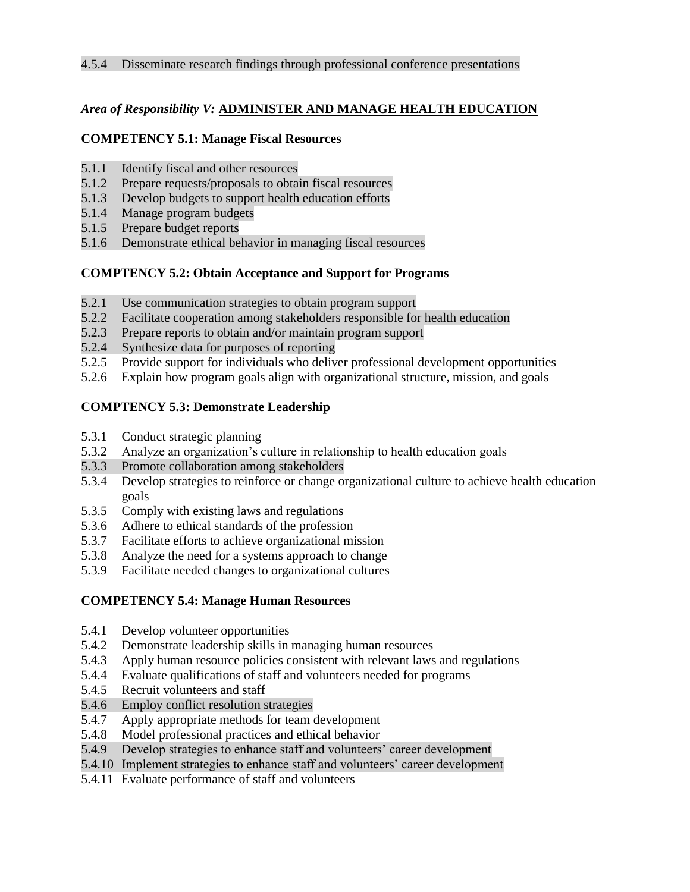### *Area of Responsibility V:* **ADMINISTER AND MANAGE HEALTH EDUCATION**

### **COMPETENCY 5.1: Manage Fiscal Resources**

- 5.1.1 Identify fiscal and other resources
- 5.1.2 Prepare requests/proposals to obtain fiscal resources
- 5.1.3 Develop budgets to support health education efforts
- 5.1.4 Manage program budgets
- 5.1.5 Prepare budget reports
- 5.1.6 Demonstrate ethical behavior in managing fiscal resources

### **COMPTENCY 5.2: Obtain Acceptance and Support for Programs**

- 5.2.1 Use communication strategies to obtain program support
- 5.2.2 Facilitate cooperation among stakeholders responsible for health education
- 5.2.3 Prepare reports to obtain and/or maintain program support
- 5.2.4 Synthesize data for purposes of reporting
- 5.2.5 Provide support for individuals who deliver professional development opportunities
- 5.2.6 Explain how program goals align with organizational structure, mission, and goals

### **COMPTENCY 5.3: Demonstrate Leadership**

- 5.3.1 Conduct strategic planning
- 5.3.2 Analyze an organization's culture in relationship to health education goals
- 5.3.3 Promote collaboration among stakeholders
- 5.3.4 Develop strategies to reinforce or change organizational culture to achieve health education goals
- 5.3.5 Comply with existing laws and regulations
- 5.3.6 Adhere to ethical standards of the profession
- 5.3.7 Facilitate efforts to achieve organizational mission
- 5.3.8 Analyze the need for a systems approach to change
- 5.3.9 Facilitate needed changes to organizational cultures

### **COMPETENCY 5.4: Manage Human Resources**

- 5.4.1 Develop volunteer opportunities
- 5.4.2 Demonstrate leadership skills in managing human resources
- 5.4.3 Apply human resource policies consistent with relevant laws and regulations
- 5.4.4 Evaluate qualifications of staff and volunteers needed for programs
- 5.4.5 Recruit volunteers and staff
- 5.4.6 Employ conflict resolution strategies
- 5.4.7 Apply appropriate methods for team development
- 5.4.8 Model professional practices and ethical behavior
- 5.4.9 Develop strategies to enhance staff and volunteers' career development
- 5.4.10 Implement strategies to enhance staff and volunteers' career development
- 5.4.11 Evaluate performance of staff and volunteers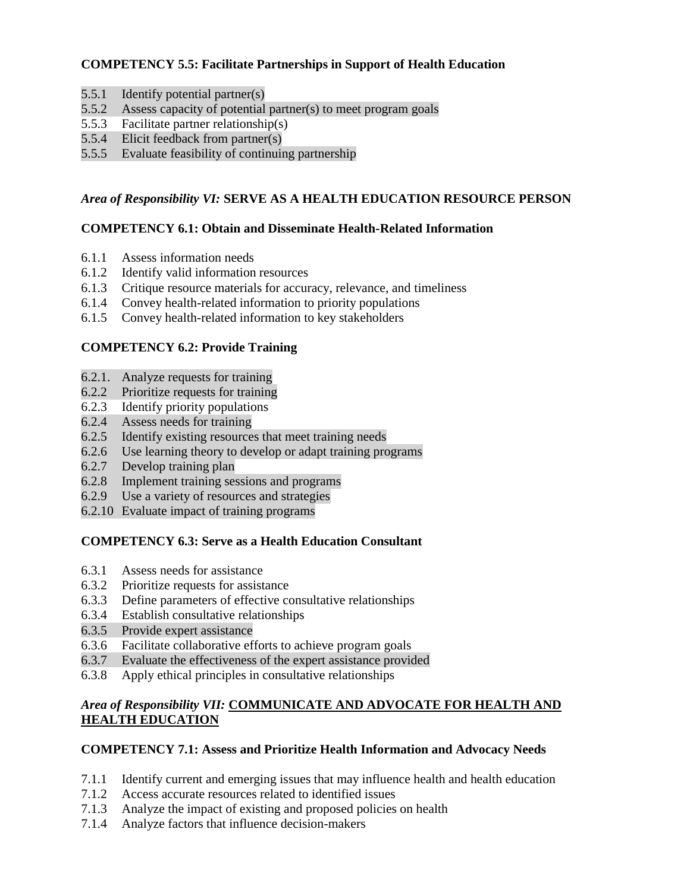# **COMPETENCY 5.5: Facilitate Partnerships in Support of Health Education**

- 5.5.1 Identify potential partner(s)
- 5.5.2 Assess capacity of potential partner(s) to meet program goals
- 5.5.3 Facilitate partner relationship(s)
- 5.5.4 Elicit feedback from partner(s)
- 5.5.5 Evaluate feasibility of continuing partnership

# *Area of Responsibility VI:* **SERVE AS A HEALTH EDUCATION RESOURCE PERSON**

### **COMPETENCY 6.1: Obtain and Disseminate Health-Related Information**

- 6.1.1 Assess information needs
- 6.1.2 Identify valid information resources
- 6.1.3 Critique resource materials for accuracy, relevance, and timeliness
- 6.1.4 Convey health-related information to priority populations
- 6.1.5 Convey health-related information to key stakeholders

# **COMPETENCY 6.2: Provide Training**

- 6.2.1. Analyze requests for training
- 6.2.2 Prioritize requests for training
- 6.2.3 Identify priority populations
- 6.2.4 Assess needs for training
- 6.2.5 Identify existing resources that meet training needs
- 6.2.6 Use learning theory to develop or adapt training programs
- 6.2.7 Develop training plan
- 6.2.8 Implement training sessions and programs
- 6.2.9 Use a variety of resources and strategies
- 6.2.10 Evaluate impact of training programs

# **COMPETENCY 6.3: Serve as a Health Education Consultant**

- 6.3.1 Assess needs for assistance
- 6.3.2 Prioritize requests for assistance
- 6.3.3 Define parameters of effective consultative relationships
- 6.3.4 Establish consultative relationships
- 6.3.5 Provide expert assistance
- 6.3.6 Facilitate collaborative efforts to achieve program goals
- 6.3.7 Evaluate the effectiveness of the expert assistance provided
- 6.3.8 Apply ethical principles in consultative relationships

# *Area of Responsibility VII:* **COMMUNICATE AND ADVOCATE FOR HEALTH AND HEALTH EDUCATION**

# **COMPETENCY 7.1: Assess and Prioritize Health Information and Advocacy Needs**

- 7.1.1 Identify current and emerging issues that may influence health and health education
- 7.1.2 Access accurate resources related to identified issues
- 7.1.3 Analyze the impact of existing and proposed policies on health
- 7.1.4 Analyze factors that influence decision-makers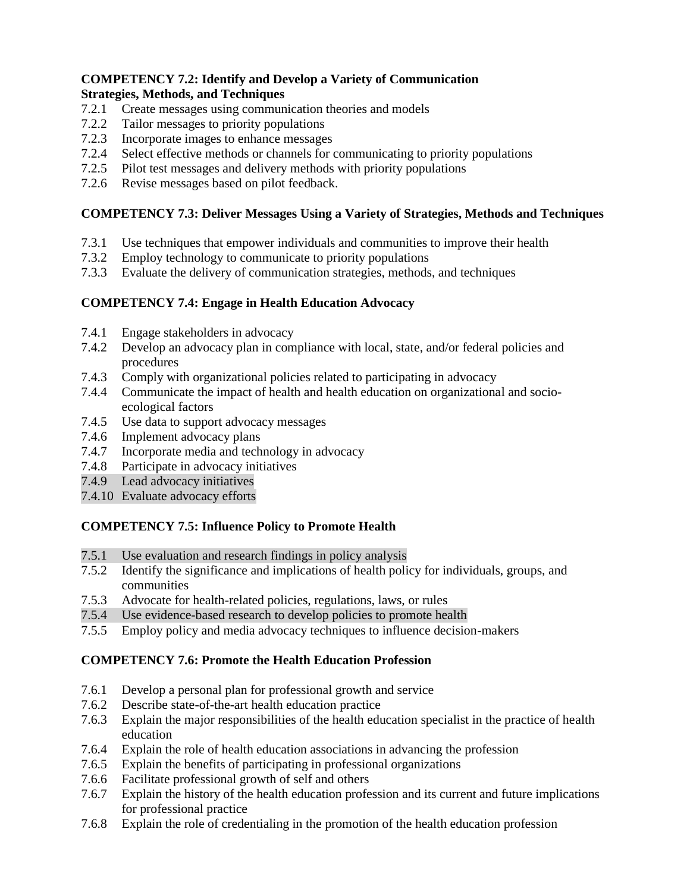### **COMPETENCY 7.2: Identify and Develop a Variety of Communication Strategies, Methods, and Techniques**

- 7.2.1 Create messages using communication theories and models
- 7.2.2 Tailor messages to priority populations
- 7.2.3 Incorporate images to enhance messages
- 7.2.4 Select effective methods or channels for communicating to priority populations
- 7.2.5 Pilot test messages and delivery methods with priority populations
- 7.2.6 Revise messages based on pilot feedback.

# **COMPETENCY 7.3: Deliver Messages Using a Variety of Strategies, Methods and Techniques**

- 7.3.1 Use techniques that empower individuals and communities to improve their health
- 7.3.2 Employ technology to communicate to priority populations
- 7.3.3 Evaluate the delivery of communication strategies, methods, and techniques

# **COMPETENCY 7.4: Engage in Health Education Advocacy**

- 7.4.1 Engage stakeholders in advocacy
- 7.4.2 Develop an advocacy plan in compliance with local, state, and/or federal policies and procedures
- 7.4.3 Comply with organizational policies related to participating in advocacy
- 7.4.4 Communicate the impact of health and health education on organizational and socioecological factors
- 7.4.5 Use data to support advocacy messages
- 7.4.6 Implement advocacy plans
- 7.4.7 Incorporate media and technology in advocacy
- 7.4.8 Participate in advocacy initiatives
- 7.4.9 Lead advocacy initiatives
- 7.4.10 Evaluate advocacy efforts

# **COMPETENCY 7.5: Influence Policy to Promote Health**

- 7.5.1 Use evaluation and research findings in policy analysis
- 7.5.2 Identify the significance and implications of health policy for individuals, groups, and communities
- 7.5.3 Advocate for health-related policies, regulations, laws, or rules
- 7.5.4 Use evidence-based research to develop policies to promote health
- 7.5.5 Employ policy and media advocacy techniques to influence decision-makers

# **COMPETENCY 7.6: Promote the Health Education Profession**

- 7.6.1 Develop a personal plan for professional growth and service
- 7.6.2 Describe state-of-the-art health education practice
- 7.6.3 Explain the major responsibilities of the health education specialist in the practice of health education
- 7.6.4 Explain the role of health education associations in advancing the profession
- 7.6.5 Explain the benefits of participating in professional organizations
- 7.6.6 Facilitate professional growth of self and others
- 7.6.7 Explain the history of the health education profession and its current and future implications for professional practice
- 7.6.8 Explain the role of credentialing in the promotion of the health education profession